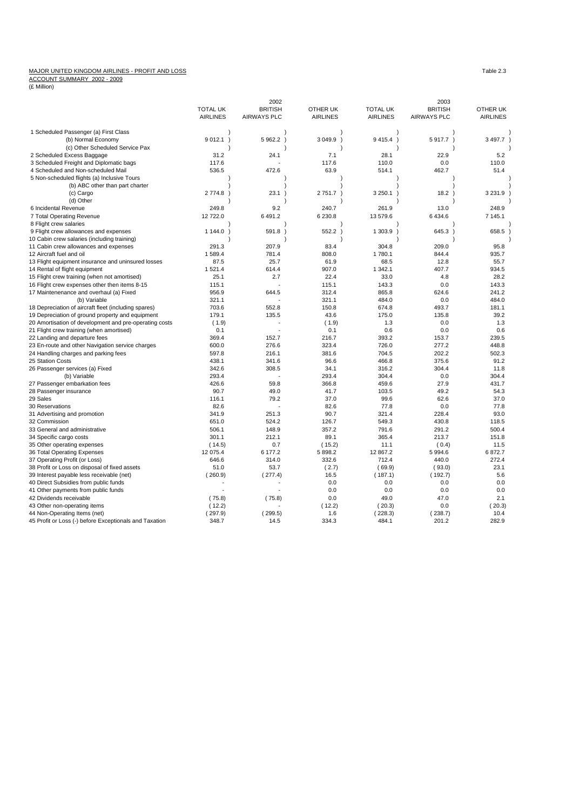## MAJOR UNITED KINGDOM AIRLINES - PROFIT AND LOSS<br>ACCOUNT SUMMARY 2002 - 2009<br>(£ Million)

|                                                        |                 | 2002               |                 |                         | 2003               |                 |
|--------------------------------------------------------|-----------------|--------------------|-----------------|-------------------------|--------------------|-----------------|
|                                                        | <b>TOTAL UK</b> | <b>BRITISH</b>     | OTHER UK        | <b>TOTAL UK</b>         | <b>BRITISH</b>     | OTHER UK        |
|                                                        | <b>AIRLINES</b> | <b>AIRWAYS PLC</b> | <b>AIRLINES</b> | <b>AIRLINES</b>         | <b>AIRWAYS PLC</b> | <b>AIRLINES</b> |
| 1 Scheduled Passenger (a) First Class                  |                 |                    |                 |                         |                    |                 |
| (b) Normal Economy                                     | 9012.1)         | 5 962.2            | 3 049.9 )       | 9415.4<br>$\rightarrow$ | 5917.7)            | 3 4 9 7.7       |
| (c) Other Scheduled Service Pax                        |                 |                    |                 |                         |                    |                 |
| 2 Scheduled Excess Baggage                             | 31.2            | 24.1               | 7.1             | 28.1                    | 22.9               | 5.2             |
| 3 Scheduled Freight and Diplomatic bags                | 117.6           |                    | 117.6           | 110.0                   | 0.0                | 110.0           |
| 4 Scheduled and Non-scheduled Mail                     | 536.5           | 472.6              | 63.9            | 514.1                   | 462.7              | 51.4            |
| 5 Non-scheduled flights (a) Inclusive Tours            |                 |                    |                 |                         |                    |                 |
| (b) ABC other than part charter                        |                 |                    |                 |                         |                    |                 |
| (c) Cargo                                              | 2 774.8         | 23.1               | 2751.7)         | 3 250.1                 | 18.2)              | 3 2 3 1.9       |
| (d) Other                                              |                 |                    |                 |                         |                    |                 |
| 6 Incidental Revenue                                   | 249.8           | 9.2                | 240.7           | 261.9                   | 13.0               | 248.9           |
| 7 Total Operating Revenue                              | 12 722.0        | 6 491.2            | 6 230.8         | 13 579.6                | 6 4 3 4.6          | 7 145.1         |
| 8 Flight crew salaries                                 |                 |                    |                 |                         |                    |                 |
| 9 Flight crew allowances and expenses                  | 1 144.0         | 591.8              | 552.2)          | 1 303.9                 | 645.3              | 658.5           |
| 10 Cabin crew salaries (including training)            |                 |                    |                 |                         |                    |                 |
| 11 Cabin crew allowances and expenses                  | 291.3           | 207.9              | 83.4            | 304.8                   | 209.0              | 95.8            |
| 12 Aircraft fuel and oil                               | 1589.4          | 781.4              | 808.0           | 1780.1                  | 844.4              | 935.7           |
| 13 Flight equipment insurance and uninsured losses     | 87.5            | 25.7               | 61.9            | 68.5                    | 12.8               | 55.7            |
| 14 Rental of flight equipment                          | 1521.4          | 614.4              | 907.0           | 1 342.1                 | 407.7              | 934.5           |
| 15 Flight crew training (when not amortised)           | 25.1            | 2.7                | 22.4            | 33.0                    | 4.8                | 28.2            |
| 16 Flight crew expenses other then items 8-15          | 115.1           |                    | 115.1           | 143.3                   | 0.0                | 143.3           |
| 17 Maintenenance and overhaul (a) Fixed                | 956.9           | 644.5              | 312.4           | 865.8                   | 624.6              | 241.2           |
| (b) Variable                                           | 321.1           |                    | 321.1           | 484.0                   | 0.0                | 484.0           |
| 18 Depreciation of aircraft fleet (including spares)   | 703.6           | 552.8              | 150.8           | 674.8                   | 493.7              | 181.1           |
| 19 Depreciation of ground property and equipment       | 179.1           | 135.5              | 43.6            | 175.0                   | 135.8              | 39.2            |
| 20 Amortisation of development and pre-operating costs | (1.9)           |                    | (1.9)           | 1.3                     | 0.0                | 1.3             |
| 21 Flight crew training (when amortised)               | 0.1             |                    | 0.1             | 0.6                     | 0.0                | 0.6             |
| 22 Landing and departure fees                          | 369.4           | 152.7              | 216.7           | 393.2                   | 153.7              | 239.5           |
| 23 En-route and other Navigation service charges       | 600.0           | 276.6              | 323.4           | 726.0                   | 277.2              | 448.8           |
| 24 Handling charges and parking fees                   | 597.8           | 216.1              | 381.6           | 704.5                   | 202.2              | 502.3           |
| 25 Station Costs                                       | 438.1           | 341.6              | 96.6            | 466.8                   | 375.6              | 91.2            |
| 26 Passenger services (a) Fixed                        | 342.6           | 308.5              | 34.1            | 316.2                   | 304.4              | 11.8            |
| (b) Variable                                           | 293.4           |                    | 293.4           | 304.4                   | 0.0                | 304.4           |
|                                                        | 426.6           | 59.8               | 366.8           | 459.6                   | 27.9               | 431.7           |
| 27 Passenger embarkation fees                          | 90.7            | 49.0               | 41.7            | 103.5                   | 49.2               | 54.3            |
| 28 Passenger insurance<br>29 Sales                     | 116.1           | 79.2               | 37.0            | 99.6                    | 62.6               | 37.0            |
|                                                        | 82.6            |                    | 82.6            | 77.8                    | 0.0                | 77.8            |
| 30 Reservations                                        |                 | 251.3              | 90.7            | 321.4                   | 228.4              | 93.0            |
| 31 Advertising and promotion                           | 341.9           |                    |                 |                         |                    |                 |
| 32 Commission                                          | 651.0           | 524.2              | 126.7           | 549.3                   | 430.8              | 118.5           |
| 33 General and administrative                          | 506.1           | 148.9              | 357.2           | 791.6                   | 291.2              | 500.4           |
| 34 Specific cargo costs                                | 301.1           | 212.1              | 89.1            | 365.4                   | 213.7              | 151.8           |
| 35 Other operating expenses                            | (14.5)          | 0.7                | (15.2)          | 11.1                    | (0.4)              | 11.5            |
| 36 Total Operating Expenses                            | 12 075.4        | 6 177.2            | 5 898.2         | 12 867.2                | 5994.6             | 6872.7          |
| 37 Operating Profit (or Loss)                          | 646.6           | 314.0              | 332.6           | 712.4                   | 440.0              | 272.4           |
| 38 Profit or Loss on disposal of fixed assets          | 51.0            | 53.7               | (2.7)           | (69.9)                  | (93.0)             | 23.1            |
| 39 Interest payable less receivable (net)              | (260.9)         | (277.4)            | 16.5            | (187.1)                 | (192.7)            | 5.6             |
| 40 Direct Subsidies from public funds                  |                 |                    | 0.0             | 0.0                     | 0.0                | 0.0             |
| 41 Other payments from public funds                    |                 |                    | 0.0             | 0.0                     | 0.0                | 0.0             |
| 42 Dividends receivable                                | (75.8)          | (75.8)             | 0.0             | 49.0                    | 47.0               | 2.1             |
| 43 Other non-operating items                           | (12.2)          |                    | (12.2)          | (20.3)                  | 0.0                | (20.3)          |
| 44 Non-Operating Items (net)                           | (297.9)         | (299.5)            | 1.6             | (228.3)                 | (238.7)            | 10.4            |
| 45 Profit or Loss (-) before Exceptionals and Taxation | 348.7           | 14.5               | 334.3           | 484.1                   | 201.2              | 282.9           |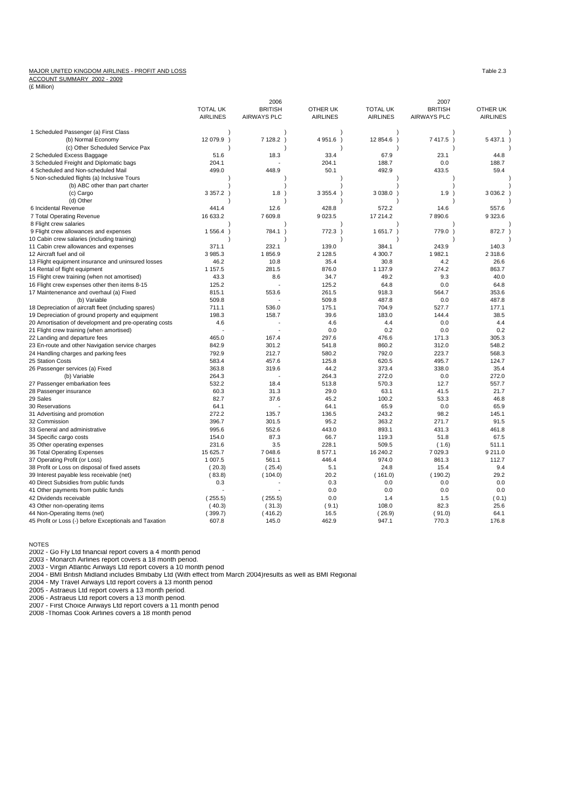## MAJOR UNITED KINGDOM AIRLINES - PROFIT AND LOSS Table 2.3

ACCOUNT SUMMARY 2002 - 2009

(£ Million)

|                                                        |                 | 2006               |                 |                           | 2007               |                 |
|--------------------------------------------------------|-----------------|--------------------|-----------------|---------------------------|--------------------|-----------------|
|                                                        | <b>TOTAL UK</b> | <b>BRITISH</b>     | OTHER UK        | <b>TOTAL UK</b>           | <b>BRITISH</b>     | OTHER UK        |
|                                                        | <b>AIRLINES</b> | <b>AIRWAYS PLC</b> | <b>AIRLINES</b> | <b>AIRLINES</b>           | <b>AIRWAYS PLC</b> | <b>AIRLINES</b> |
| 1 Scheduled Passenger (a) First Class                  |                 |                    |                 |                           |                    |                 |
| (b) Normal Economy                                     | 12 079.9        | 7 128.2 )          | 4 951.6 )       | 12 854.6<br>$\rightarrow$ | 7 417.5 )          | 5 4 3 7.1       |
| (c) Other Scheduled Service Pax                        |                 |                    |                 |                           |                    |                 |
| 2 Scheduled Excess Baggage                             | 51.6            | 18.3               | 33.4            | 67.9                      | 23.1               | 44.8            |
| 3 Scheduled Freight and Diplomatic bags                | 204.1           |                    | 204.1           | 188.7                     | 0.0                | 188.7           |
| 4 Scheduled and Non-scheduled Mail                     | 499.0           | 448.9              | 50.1            | 492.9                     | 433.5              | 59.4            |
| 5 Non-scheduled flights (a) Inclusive Tours            |                 |                    |                 |                           |                    |                 |
| (b) ABC other than part charter                        |                 |                    |                 |                           |                    |                 |
| (c) Cargo                                              | 3 3 5 7.2       | 1.8                | 3 3 5 5 . 4     | 3 0 38.0                  | 1.9                | 3 0 3 6.2       |
| (d) Other                                              |                 |                    |                 |                           |                    |                 |
| 6 Incidental Revenue                                   | 441.4           | 12.6               | 428.8           | 572.2                     | 14.6               | 557.6           |
| 7 Total Operating Revenue                              | 16 633.2        | 7 609.8            | 9 0 23.5        | 17 214.2                  | 7890.6             | 9 3 23.6        |
| 8 Flight crew salaries                                 |                 |                    |                 |                           |                    |                 |
| 9 Flight crew allowances and expenses                  | 1 556.4         | 784.1              | 772.3<br>-1     | $1651.7$ )                | 779.0 )            | 872.7           |
| 10 Cabin crew salaries (including training)            |                 |                    |                 |                           |                    |                 |
| 11 Cabin crew allowances and expenses                  | 371.1           | 232.1              | 139.0           | 384.1                     | 243.9              | 140.3           |
|                                                        | 3 985.3         | 1856.9             |                 | 4 300.7                   | 1 982.1            |                 |
| 12 Aircraft fuel and oil                               |                 |                    | 2 1 2 8.5       |                           |                    | 2 3 1 8.6       |
| 13 Flight equipment insurance and uninsured losses     | 46.2            | 10.8               | 35.4            | 30.8                      | 4.2                | 26.6            |
| 14 Rental of flight equipment                          | 1 1 5 7 . 5     | 281.5              | 876.0           | 1 137.9                   | 274.2              | 863.7           |
| 15 Flight crew training (when not amortised)           | 43.3            | 8.6                | 34.7            | 49.2                      | 9.3                | 40.0            |
| 16 Flight crew expenses other then items 8-15          | 125.2           |                    | 125.2           | 64.8                      | 0.0                | 64.8            |
| 17 Maintenenance and overhaul (a) Fixed                | 815.1           | 553.6              | 261.5           | 918.3                     | 564.7              | 353.6           |
| (b) Variable                                           | 509.8           |                    | 509.8           | 487.8                     | 0.0                | 487.8           |
| 18 Depreciation of aircraft fleet (including spares)   | 711.1           | 536.0              | 175.1           | 704.9                     | 527.7              | 177.1           |
| 19 Depreciation of ground property and equipment       | 198.3           | 158.7              | 39.6            | 183.0                     | 144.4              | 38.5            |
| 20 Amortisation of development and pre-operating costs | 4.6             |                    | 4.6             | 4.4                       | 0.0                | 4.4             |
| 21 Flight crew training (when amortised)               |                 |                    | 0.0             | 0.2                       | 0.0                | 0.2             |
| 22 Landing and departure fees                          | 465.0           | 167.4              | 297.6           | 476.6                     | 171.3              | 305.3           |
| 23 En-route and other Navigation service charges       | 842.9           | 301.2              | 541.8           | 860.2                     | 312.0              | 548.2           |
| 24 Handling charges and parking fees                   | 792.9           | 212.7              | 580.2           | 792.0                     | 223.7              | 568.3           |
| 25 Station Costs                                       | 583.4           | 457.6              | 125.8           | 620.5                     | 495.7              | 124.7           |
| 26 Passenger services (a) Fixed                        | 363.8           | 319.6              | 44.2            | 373.4                     | 338.0              | 35.4            |
| (b) Variable                                           | 264.3           |                    | 264.3           | 272.0                     | 0.0                | 272.0           |
| 27 Passenger embarkation fees                          | 532.2           | 18.4               | 513.8           | 570.3                     | 12.7               | 557.7           |
| 28 Passenger insurance                                 | 60.3            | 31.3               | 29.0            | 63.1                      | 41.5               | 21.7            |
| 29 Sales                                               | 82.7            | 37.6               | 45.2            | 100.2                     | 53.3               | 46.8            |
| 30 Reservations                                        | 64.1            |                    | 64.1            | 65.9                      | 0.0                | 65.9            |
| 31 Advertising and promotion                           | 272.2           | 135.7              | 136.5           | 243.2                     | 98.2               | 145.1           |
| 32 Commission                                          | 396.7           | 301.5              | 95.2            | 363.2                     | 271.7              | 91.5            |
| 33 General and administrative                          | 995.6           | 552.6              | 443.0           | 893.1                     | 431.3              | 461.8           |
| 34 Specific cargo costs                                | 154.0           | 87.3               | 66.7            | 119.3                     | 51.8               | 67.5            |
| 35 Other operating expenses                            | 231.6           | 3.5                | 228.1           | 509.5                     | (1.6)              | 511.1           |
| 36 Total Operating Expenses                            | 15 625.7        | 7 048.6            | 8577.1          | 16 240.2                  | 7 0 29.3           | 9 211.0         |
| 37 Operating Profit (or Loss)                          | 1 007.5         | 561.1              | 446.4           | 974.0                     | 861.3              | 112.7           |
| 38 Profit or Loss on disposal of fixed assets          | (20.3)          | (25.4)             | 5.1             | 24.8                      | 15.4               | 9.4             |
| 39 Interest payable less receivable (net)              | (83.8)          | (104.0)            | 20.2            | (161.0)                   | (190.2)            | 29.2            |
| 40 Direct Subsidies from public funds                  | 0.3             |                    | 0.3             | 0.0                       | 0.0                | 0.0             |
| 41 Other payments from public funds                    |                 |                    | 0.0             | 0.0                       | 0.0                | 0.0             |
| 42 Dividends receivable                                | (255.5)         | (255.5)            | 0.0             | 1.4                       | 1.5                | (0.1)           |
| 43 Other non-operating items                           | (40.3)          | (31.3)             | (9.1)           | 108.0                     | 82.3               | 25.6            |
| 44 Non-Operating Items (net)                           | (399.7)         | (416.2)            | 16.5            | (26.9)                    | (91.0)             | 64.1            |
| 45 Profit or Loss (-) before Exceptionals and Taxation | 607.8           | 145.0              | 462.9           | 947.1                     | 770.3              | 176.8           |
|                                                        |                 |                    |                 |                           |                    |                 |

NOTES<br>2002 - Go Fly Ltd financial report covers a 4 month period<br>2003 - Monarch Airlines report covers a 18 month period.<br>2003 - Virgin Atlantic Airways Ltd report covers a 10 month period<br>2004 - BMI British Midland includ

2004 - My Travel Airways Ltd report covers a 13 month period<br>2005 - Astraeus Ltd report covers a 13 month period.<br>2006 - Astraeus Ltd report covers a 13 month period.<br>2007 - First Choice Airways Ltd report covers a 11 mont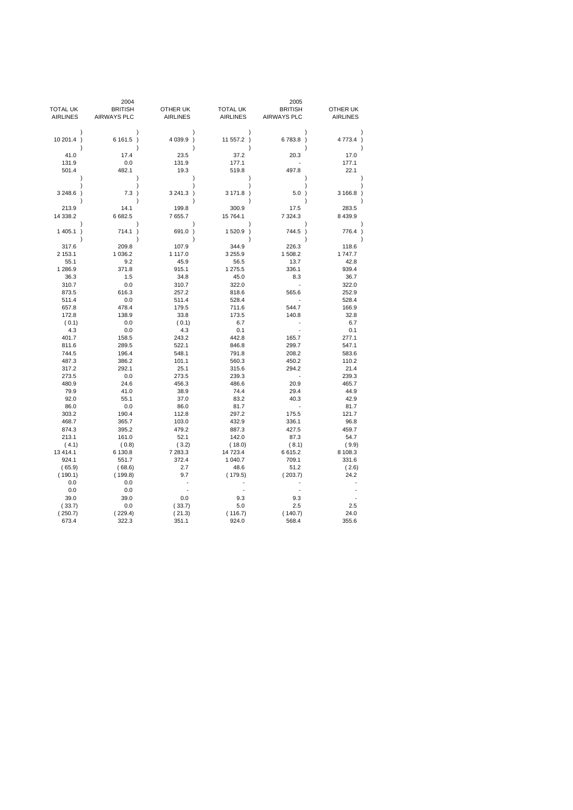|                      | 2004               |                    |                         | 2005                    |                 |
|----------------------|--------------------|--------------------|-------------------------|-------------------------|-----------------|
| <b>TOTAL UK</b>      | <b>BRITISH</b>     | OTHER UK           | <b>TOTAL UK</b>         | <b>BRITISH</b>          | OTHER UK        |
| <b>AIRLINES</b>      | <b>AIRWAYS PLC</b> | <b>AIRLINES</b>    | <b>AIRLINES</b>         | <b>AIRWAYS PLC</b>      | <b>AIRLINES</b> |
|                      |                    |                    | $\lambda$               |                         |                 |
| 10 201.4 )<br>1      | 6 161.5            | 4 0 39.9 )         | 11 557.2 )<br>$\lambda$ | 6783.8)<br>$\lambda$    | 4 773.4 )       |
| 41.0                 | 17.4               | 23.5               | 37.2                    | 20.3                    | 17.0            |
| 131.9                | 0.0                | 131.9              | 177.1                   |                         | 177.1           |
| 501.4<br>$\lambda$   | 482.1              | 19.3               | 519.8<br>١              | 497.8                   | 22.1            |
|                      |                    |                    |                         |                         |                 |
| 3 248.6 )            | 7.3)               | 3 241.3 )          | 3 171.8 )               | $5.0$ )                 | 3 166.8 )       |
| 213.9                | 14.1               | 199.8              | 300.9                   | 17.5                    | 283.5           |
| 14 338.2<br>-        | 6682.5             | 7 655.7            | 15 764.1                | 7 3 2 4 . 3             | 8 4 3 9.9       |
| 1 405.1<br>$\lambda$ | 714.1<br>$\lambda$ | 691.0<br>$\lambda$ | 1520.9 )<br>١           | 744.5)<br>$\mathcal{E}$ | 776.4           |
| 317.6                | 209.8              | 107.9              | 344.9                   | 226.3                   | 118.6           |
| 2 153.1              | 1 0 36.2           | 1 117.0            | 3 2 5 5.9               | 1 508.2                 | 1747.7          |
| 55.1                 | 9.2                | 45.9               | 56.5                    | 13.7                    | 42.8            |
| 1 286.9              | 371.8              | 915.1              | 1 275.5                 | 336.1                   | 939.4           |
| 36.3                 | 1.5                | 34.8               | 45.0                    | 8.3                     | 36.7            |
| 310.7                | 0.0                | 310.7              | 322.0                   |                         | 322.0           |
| 873.5                | 616.3              | 257.2              | 818.6                   | 565.6                   | 252.9           |
| 511.4                | 0.0                | 511.4              | 528.4                   |                         | 528.4           |
| 657.8                | 478.4              | 179.5              | 711.6                   | 544.7                   | 166.9           |
| 172.8                | 138.9              | 33.8               | 173.5                   | 140.8                   | 32.8            |
| (0.1)                | 0.0                | (0.1)              | 6.7                     |                         | 6.7             |
| 4.3                  | 0.0                | 4.3                | 0.1                     |                         | 0.1             |
| 401.7                | 158.5              | 243.2              | 442.8                   | 165.7                   | 277.1           |
| 811.6                | 289.5              | 522.1              | 846.8                   | 299.7                   | 547.1           |
| 744.5                | 196.4              | 548.1              | 791.8                   | 208.2                   | 583.6           |
| 487.3                | 386.2              | 101.1              | 560.3                   | 450.2                   | 110.2           |
| 317.2                | 292.1              | 25.1               | 315.6                   | 294.2                   | 21.4            |
| 273.5                | 0.0                | 273.5              | 239.3                   |                         | 239.3           |
| 480.9                | 24.6               | 456.3              | 486.6                   | 20.9                    | 465.7           |
| 79.9                 | 41.0               | 38.9               | 74.4                    | 29.4                    | 44.9            |
| 92.0                 | 55.1               | 37.0               | 83.2                    | 40.3<br>÷,              | 42.9            |
| 86.0                 | 0.0                | 86.0               | 81.7                    |                         | 81.7            |
| 303.2<br>468.7       | 190.4<br>365.7     | 112.8<br>103.0     | 297.2<br>432.9          | 175.5<br>336.1          | 121.7<br>96.8   |
| 874.3                | 395.2              | 479.2              | 887.3                   | 427.5                   | 459.7           |
| 213.1                | 161.0              | 52.1               | 142.0                   | 87.3                    | 54.7            |
| (4.1)                | (0.8)              | (3.2)              | (18.0)                  | (8.1)                   | (9.9)           |
| 13 4 14.1            | 6 130.8            | 7 283.3            | 14 723.4                | 6615.2                  | 8 108.3         |
| 924.1                | 551.7              | 372.4              | 1 040.7                 | 709.1                   | 331.6           |
| (65.9)               | (68.6)             | 2.7                | 48.6                    | 51.2                    | (2.6)           |
| (190.1)              | (199.8)            | 9.7                | (179.5)                 | (203.7)                 | 24.2            |
| 0.0                  | 0.0                |                    |                         |                         |                 |
| 0.0                  | 0.0                |                    |                         | ÷,                      |                 |
| 39.0                 | 39.0               | 0.0                | 9.3                     | 9.3                     |                 |
| (33.7)               | 0.0                | (33.7)             | 5.0                     | 2.5                     | 2.5             |
| (250.7)              | (229.4)            | (21.3)             | (116.7)                 | (140.7)                 | 24.0            |
| 673.4                | 322.3              | 351.1              | 924.0                   | 568.4                   | 355.6           |